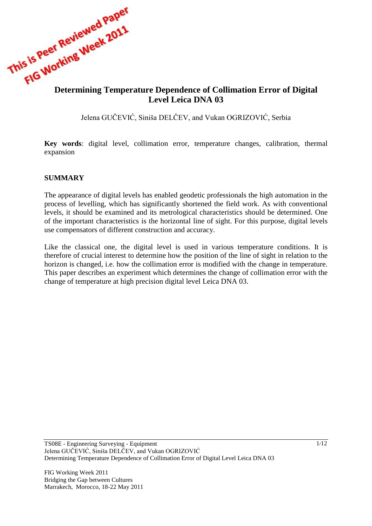

# **Level Leica DNA 03**

Jelena GUĈEVIĆ, Siniša DELĈEV, and Vukan OGRIZOVIĆ, Serbia

**Key words**: digital level, collimation error, temperature changes, calibration, thermal expansion

#### **SUMMARY**

The appearance of digital levels has enabled geodetic professionals the high automation in the process of levelling, which has significantly shortened the field work. As with conventional levels, it should be examined and its metrological characteristics should be determined. One of the important characteristics is the horizontal line of sight. For this purpose, digital levels use compensators of different construction and accuracy.

Like the classical one, the digital level is used in various temperature conditions. It is therefore of crucial interest to determine how the position of the line of sight in relation to the horizon is changed, i.e. how the collimation error is modified with the change in temperature. This paper describes an experiment which determines the change of collimation error with the change of temperature at high precision digital level Leica DNA 03.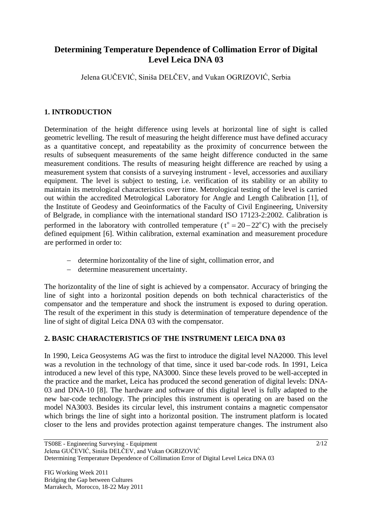# **Determining Temperature Dependence of Collimation Error of Digital Level Leica DNA 03**

Jelena GUĈEVIĆ, Siniša DELĈEV, and Vukan OGRIZOVIĆ, Serbia

## **1. INTRODUCTION**

Determination of the height difference using levels at horizontal line of sight is called geometric levelling. The result of measuring the height difference must have defined accuracy as a quantitative concept, and repeatability as the proximity of concurrence between the results of subsequent measurements of the same height difference conducted in the same measurement conditions. The results of measuring height difference are reached by using a measurement system that consists of a surveying instrument - level, accessories and auxiliary equipment. The level is subject to testing, i.e. verification of its stability or an ability to maintain its metrological characteristics over time. Metrological testing of the level is carried out within the accredited Metrological Laboratory for Angle and Length Calibration [1], of the Institute of Geodesy and Geoinformatics of the Faculty of Civil Engineering, University of Belgrade, in compliance with the international standard ISO 17123-2:2002. Calibration is performed in the laboratory with controlled temperature ( $t^{\circ} = 20 - 22^{\circ}$ C) with the precisely defined equipment [6]. Within calibration, external examination and measurement procedure are performed in order to:

- determine horizontality of the line of sight, collimation error, and
- determine measurement uncertainty.

The horizontality of the line of sight is achieved by a compensator. Accuracy of bringing the line of sight into a horizontal position depends on both technical characteristics of the compensator and the temperature and shock the instrument is exposed to during operation. The result of the experiment in this study is determination of temperature dependence of the line of sight of digital Leica DNA 03 with the compensator.

## **2. BASIC CHARACTERISTICS OF THE INSTRUMENT LEICA DNA 03**

In 1990, Leica Geosystems AG was the first to introduce the digital level NA2000. This level was a revolution in the technology of that time, since it used bar-code rods. In 1991, Leica introduced a new level of this type, NA3000. Since these levels proved to be well-accepted in the practice and the market, Leica has produced the second generation of digital levels: DNA-03 and DNA-10 [8]. The hardware and software of this digital level is fully adapted to the new bar-code technology. The principles this instrument is operating on are based on the model NA3003. Besides its circular level, this instrument contains a magnetic compensator which brings the line of sight into a horizontal position. The instrument platform is located closer to the lens and provides protection against temperature changes. The instrument also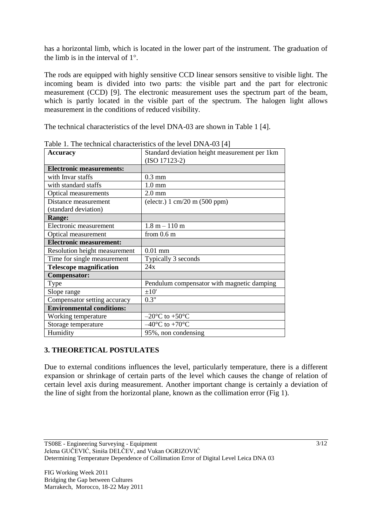has a horizontal limb, which is located in the lower part of the instrument. The graduation of the limb is in the interval of  $1^\circ$ .

The rods are equipped with highly sensitive CCD linear sensors sensitive to visible light. The incoming beam is divided into two parts: the visible part and the part for electronic measurement (CCD) [9]. The electronic measurement uses the spectrum part of the beam, which is partly located in the visible part of the spectrum. The halogen light allows measurement in the conditions of reduced visibility.

The technical characteristics of the level DNA-03 are shown in Table 1 [4].

| <b>Accuracy</b>                              | Standard deviation height measurement per 1km   |  |  |
|----------------------------------------------|-------------------------------------------------|--|--|
|                                              | $(ISO 17123-2)$                                 |  |  |
| <b>Electronic measurements:</b>              |                                                 |  |  |
| with Invar staffs                            | $0.3$ mm                                        |  |  |
| with standard staffs                         | $1.0 \text{ mm}$                                |  |  |
| <b>Optical measurements</b>                  | $2.0$ mm                                        |  |  |
| Distance measurement<br>(standard deviation) | (electr.) $1 \text{ cm}/20 \text{ m}$ (500 ppm) |  |  |
| <b>Range:</b>                                |                                                 |  |  |
| Electronic measurement                       | $1.8 m - 110 m$                                 |  |  |
| Optical measurement                          | from $0.6$ m                                    |  |  |
| <b>Electronic measurement:</b>               |                                                 |  |  |
| Resolution height measurement                | $0.01$ mm                                       |  |  |
| Time for single measurement                  | Typically 3 seconds                             |  |  |
| <b>Telescope magnification</b>               | 24x                                             |  |  |
| <b>Compensator:</b>                          |                                                 |  |  |
| Type                                         | Pendulum compensator with magnetic damping      |  |  |
| Slope range                                  | ±10'                                            |  |  |
| Compensator setting accuracy                 | 0.3"                                            |  |  |
| <b>Environmental conditions:</b>             |                                                 |  |  |
| Working temperature                          | $-20^{\circ}$ C to $+50^{\circ}$ C              |  |  |
| Storage temperature                          | $-40^{\circ}$ C to +70 $^{\circ}$ C             |  |  |
| Humidity                                     | 95%, non condensing                             |  |  |

Table 1. The technical characteristics of the level DNA-03 [4]

## **3. THEORETICAL POSTULATES**

Due to external conditions influences the level, particularly temperature, there is a different expansion or shrinkage of certain parts of the level which causes the change of relation of certain level axis during measurement. Another important change is certainly a deviation of the line of sight from the horizontal plane, known as the collimation error (Fig 1).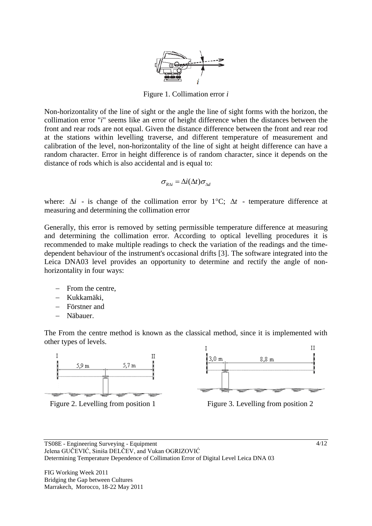

Figure 1. Collimation error *i*

Non-horizontality of the line of sight or the angle the line of sight forms with the horizon, the collimation error "*i*" seems like an error of height difference when the distances between the front and rear rods are not equal. Given the distance difference between the front and rear rod at the stations within levelling traverse, and different temperature of measurement and calibration of the level, non-horizontality of the line of sight at height difference can have a random character. Error in height difference is of random character, since it depends on the distance of rods which is also accidental and is equal to:

$$
\sigma_{R\Delta i} = \Delta i(\Delta t) \sigma_{\Delta d}
$$

where:  $\Delta i$  - is change of the collimation error by  $1^{\circ}C$ ;  $\Delta t$  - temperature difference at measuring and determining the collimation error

Generally, this error is removed by setting permissible temperature difference at measuring and determining the collimation error. According to optical levelling procedures it is recommended to make multiple readings to check the variation of the readings and the timedependent behaviour of the instrument's occasional drifts [3]. The software integrated into the Leica DNA03 level provides an opportunity to determine and rectify the angle of nonhorizontality in four ways:

- From the centre,
- Kukkamäki,
- Förstner and
- Näbauer.

The From the centre method is known as the classical method, since it is implemented with other types of levels.







Figure 2. Levelling from position 1 Figure 3. Levelling from position 2

FIG Working Week 2011 Bridging the Gap between Cultures Marrakech, Morocco, 18-22 May 2011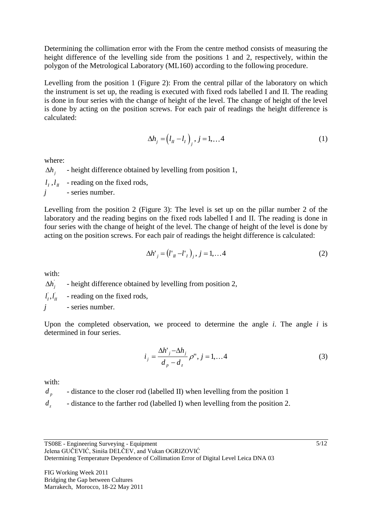Determining the collimation error with the From the centre method consists of measuring the height difference of the levelling side from the positions 1 and 2, respectively, within the polygon of the Metrological Laboratory (ML160) according to the following procedure.

Levelling from the position 1 (Figure 2): From the central pillar of the laboratory on which the instrument is set up, the reading is executed with fixed rods labelled I and II. The reading is done in four series with the change of height of the level. The change of height of the level is done by acting on the position screws. For each pair of readings the height difference is calculated:

$$
\Delta h_j = (l_{II} - l_1)_{j}, j = 1,...4
$$
 (1)

where:

 $\Delta h$ <sub>i</sub> - height difference obtained by levelling from position 1,  $l_i$ ,  $l_{ij}$  - reading on the fixed rods, *j* - series number.

Levelling from the position 2 (Figure 3): The level is set up on the pillar number 2 of the laboratory and the reading begins on the fixed rods labelled I and II. The reading is done in four series with the change of height of the level. The change of height of the level is done by acting on the position screws. For each pair of readings the height difference is calculated:

$$
\Delta h'_{j} = (l'_{\pi} - l'_{\pi})_{j}, j = 1, \dots 4
$$
 (2)

with:

*<sup>j</sup> h* - height difference obtained by levelling from position 2,

 $_l^{\cdot},l_l^{\cdot}$ *I* - reading on the fixed rods,

*j* - series number.

Upon the completed observation, we proceed to determine the angle *i*. The angle *i* is determined in four series.

$$
i_j = \frac{\Delta h^{\prime}_j - \Delta h_j}{d_p - d_z} \rho^{\prime \prime}, j = 1, \dots 4
$$
 (3)

with:

*d*<sub>*p*</sub> - distance to the closer rod (labelled II) when levelling from the position 1

*d* - distance to the farther rod (labelled I) when levelling from the position 2.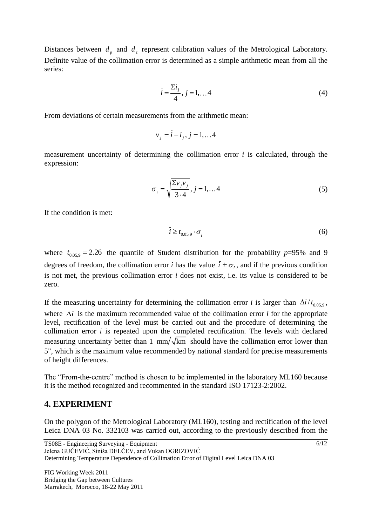Distances between  $d_p$  and  $d_z$  represent calibration values of the Metrological Laboratory. Definite value of the collimation error is determined as a simple arithmetic mean from all the series:

$$
\bar{i} = \frac{\sum i_j}{4}, \, j = 1, \dots 4 \tag{4}
$$

From deviations of certain measurements from the arithmetic mean:

$$
v_j = \bar{i} - i_j, j = 1, \dots 4
$$

measurement uncertainty of determining the collimation error *i* is calculated, through the expression:

$$
\sigma_{\tilde{i}} = \sqrt{\frac{\Sigma v_j v_j}{3 \cdot 4}}, j = 1, \dots 4
$$
 (5)

If the condition is met:

$$
\bar{i} \ge t_{0.05,9} \cdot \sigma_{\bar{i}} \tag{6}
$$

where  $t_{0.05,9} = 2.26$  the quantile of Student distribution for the probability  $p=95\%$  and 9 degrees of freedom, the collimation error *i* has the value  $\bar{i} \pm \sigma_{\bar{i}}$ , and if the previous condition is not met, the previous collimation error *i* does not exist, i.e. its value is considered to be zero.

If the measuring uncertainty for determining the collimation error *i* is larger than  $\Delta i/t_{0.05,9}$ , where  $\Delta i$  is the maximum recommended value of the collimation error *i* for the appropriate level, rectification of the level must be carried out and the procedure of determining the collimation error *i* is repeated upon the completed rectification. The levels with declared measuring uncertainty better than 1 mm/ $\sqrt{k}$ m should have the collimation error lower than 5", which is the maximum value recommended by national standard for precise measurements of height differences.

The "From-the-centre" method is chosen to be implemented in the laboratory ML160 because it is the method recognized and recommented in the standard ISO 17123-2:2002.

#### **4. EXPERIMENT**

On the polygon of the Metrological Laboratory (ML160), testing and rectification of the level Leica DNA 03 No. 332103 was carried out, according to the previously described from the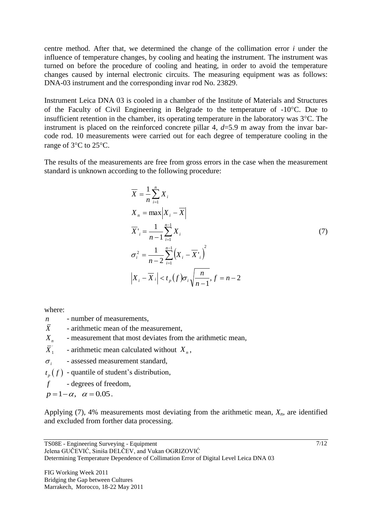centre method. After that, we determined the change of the collimation error *i* under the influence of temperature changes, by cooling and heating the instrument. The instrument was turned on before the procedure of cooling and heating, in order to avoid the temperature changes caused by internal electronic circuits. The measuring equipment was as follows: DNA-03 instrument and the corresponding invar rod No. 23829.

Instrument Leica DNA 03 is cooled in a chamber of the Institute of Materials and Structures of the Faculty of Civil Engineering in Belgrade to the temperature of -10C. Due to insufficient retention in the chamber, its operating temperature in the laboratory was  $3^{\circ}$ C. The instrument is placed on the reinforced concrete pillar 4, *d*=5.9 m away from the invar barcode rod. 10 measurements were carried out for each degree of temperature cooling in the range of 3°C to 25°C.

The results of the measurements are free from gross errors in the case when the measurement standard is unknown according to the following procedure:

$$
\overline{X} = \frac{1}{n} \sum_{i=1}^{n} X_i
$$
\n
$$
X_n = \max |X_i - \overline{X}|
$$
\n
$$
\overline{X'}_i = \frac{1}{n-1} \sum_{i=1}^{n-1} X_i
$$
\n
$$
\sigma_i^2 = \frac{1}{n-2} \sum_{i=1}^{n-1} (X_i - \overline{X'}_i)^2
$$
\n
$$
|X_i - \overline{X}_i| < t_p(f) \sigma_i \sqrt{\frac{n}{n-1}}, f = n-2
$$
\n(7)

where:

- *n* number of measurements.
- $\overline{X}$  arithmetic mean of the measurement,
- *X n* - measurement that most deviates from the arithmetic mean,
- $\overline{X}_1^{\prime}$ - arithmetic mean calculated without  $X_n$ ,

 $\sigma_i$ - assessed measurement standard,

 $t_p(f)$  - quantile of student's distribution,

*f* - degrees of freedom,

$$
p=1-\alpha, \quad \alpha=0.05.
$$

Applying (7), 4% measurements most deviating from the arithmetic mean, *Xn*, are identified and excluded from forther data processing.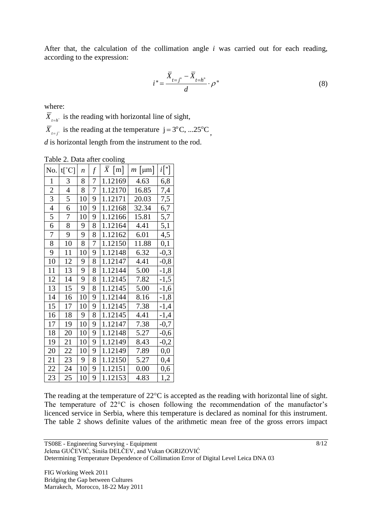After that, the calculation of the collimation angle *i* was carried out for each reading, according to the expression:

$$
i = \frac{\overline{X}_{t=j^{\circ}} - \overline{X}_{t=h^{\circ}}}{d} \cdot \rho^{\prime\prime}
$$
 (8)

where:

 $X_{t=h<sup>o</sup>}$  is the reading with horizontal line of sight,

 $\overline{X}_{t=j^{\circ}}$  is the reading at the temperature  $j = 3^{\circ}C, ... 25^{\circ}C,$ 

*d* is horizontal length from the instrument to the rod.

| Table 2. Data after cooling |  |  |  |  |
|-----------------------------|--|--|--|--|
|-----------------------------|--|--|--|--|

| No.            | $t[^{\circ}C]$ | $\boldsymbol{n}$ | $f\$ | $\overline{X}$ [m] | $m$   $\mu$ m | $i$ ["]  |
|----------------|----------------|------------------|------|--------------------|---------------|----------|
| $\mathbf{1}$   | 3              | 8                | 7    | 1.12169            | 4.63          | 6,8      |
| $\overline{2}$ | $\overline{4}$ | 8                | 7    | 1.12170            | 16.85         | 7,4      |
| $\overline{3}$ | 5              | 10               | 9    | 1.12171            | 20.03         | 7,5      |
| 4              | 6              | 10               | 9    | 1.12168            | 32.34         | 6,7      |
| 5              | 7              | 10               | 9    | 1.12166            | 15.81         | 5,7      |
| 6              | 8              | 9                | 8    | 1.12164            | 4.41          | 5,1      |
| 7              | 9              | 9                | 8    | 1.12162            | 6.01          | 4,5      |
| 8              | 10             | 8                | 7    | 1.12150            | 11.88         | 0,1      |
| 9              | 11             | 10               | 9    | 1.12148            | 6.32          | $-0,3$   |
| 10             | 12             | 9                | 8    | 1.12147            | 4.41          | $-0,8$   |
| 11             | 13             | 9                | 8    | 1.12144            | 5.00          | $-1,8$   |
| 12             | 14             | 9                | 8    | 1.12145            | 7.82          | $-1,5$   |
| 13             | 15             | 9                | 8    | 1.12145            | 5.00          | $-1,6$   |
| 14             | 16             | 10               | 9    | 1.12144            | 8.16          | $-1,8$   |
| 15             | 17             | 10               | 9    | 1.12145            | 7.38          | $-1,4$   |
| 16             | 18             | 9                | 8    | 1.12145            | 4.41          | $-1,4$   |
| 17             | 19             | 10               | 9    | 1.12147            | 7.38          | $-0,7$   |
| 18             | 20             | 10               | 9    | 1.12148            | 5.27          | $-0,6$   |
| 19             | 21             | 10               | 9    | 1.12149            | 8.43          | $-0,2$   |
| 20             | 22             | 10               | 9    | 1.12149            | 7.89          | $_{0,0}$ |
| 21             | 23             | 9                | 8    | 1.12150            | 5.27          | 0,4      |
| 22             | 24             | 10               | 9    | 1.12151            | 0.00          | 0,6      |
| 23             | 25             | 10               | 9    | 1.12153            | 4.83          | 1,2      |

The reading at the temperature of  $22^{\circ}$ C is accepted as the reading with horizontal line of sight. The temperature of 22°C is chosen following the recommendation of the manufactor's licenced service in Serbia, where this temperature is declared as nominal for this instrument. The table 2 shows definite values of the arithmetic mean free of the gross errors impact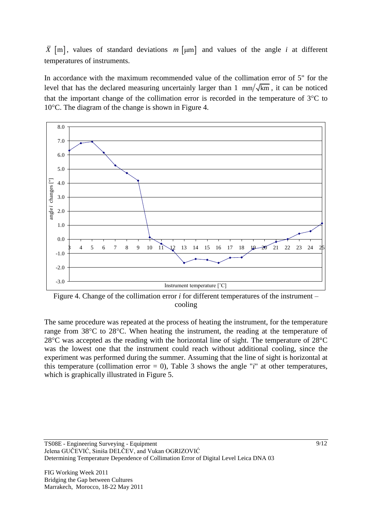$\bar{X}$  [m], values of standard deviations  $m$  [ $\mu$ m] and values of the angle *i* at different temperatures of instruments.

In accordance with the maximum recommended value of the collimation error of 5" for the level that has the declared measuring uncertainly larger than 1  $mm/\sqrt{km}$ , it can be noticed that the important change of the collimation error is recorded in the temperature of  $3^{\circ}$ C to  $10^{\circ}$ C. The diagram of the change is shown in Figure 4.



Figure 4. Change of the collimation error *i* for different temperatures of the instrument – cooling

The same procedure was repeated at the process of heating the instrument, for the temperature range from  $38^{\circ}$ C to  $28^{\circ}$ C. When heating the instrument, the reading at the temperature of  $28^{\circ}$ C was accepted as the reading with the horizontal line of sight. The temperature of  $28^{\circ}$ C was the lowest one that the instrument could reach without additional cooling, since the experiment was performed during the summer. Assuming that the line of sight is horizontal at this temperature (collimation error  $= 0$ ), Table 3 shows the angle "*i*" at other temperatures, which is graphically illustrated in Figure 5.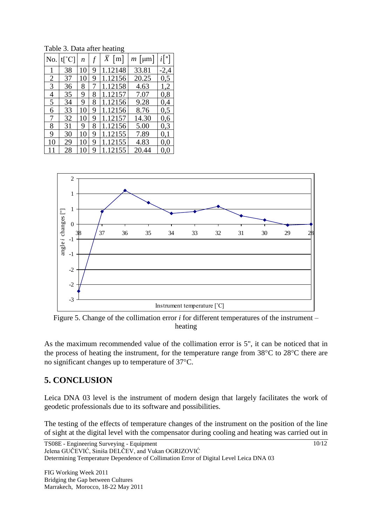| No.            | $t[^{\circ}C]$ | n  |   | $\overline{X}$ [m] | $ \mu m $<br>m | $i$ ["] |
|----------------|----------------|----|---|--------------------|----------------|---------|
|                | 38             | 10 | 9 | 1.12148            | 33.81          | -2,4    |
| $\overline{2}$ | 37             | 10 | 9 | 1.12156            | 20.25          | 0,5     |
| 3              | 36             | 8  | 7 | 1.12158            | 4.63           | 1,2     |
| 4              | 35             | 9  | 8 | 1.12157            | 7.07           | 0,8     |
| 5              | 34             | 9  | 8 | 1.12156            | 9.28           | 0,4     |
| 6              | 33             | 10 | 9 | 1.12156            | 8.76           | 0,5     |
| 7              | 32             | 10 | 9 | 1.12157            | 14.30          | 0,6     |
| 8              | 31             | 9  | 8 | 1.12156            | 5.00           | 0,3     |
| 9              | 30             | 10 | 9 | 1.12155            | 7.89           | 0,1     |
| 10             | 29             | 10 | 9 | 1.12155            | 4.83           | 0,0     |
| 11             | 28             | 10 | 9 | 1.12155            | 20.44          | 0.0     |

Table 3. Data after heating



Figure 5. Change of the collimation error *i* for different temperatures of the instrument – heating

As the maximum recommended value of the collimation error is 5", it can be noticed that in the process of heating the instrument, for the temperature range from  $38^{\circ}$ C to  $28^{\circ}$ C there are no significant changes up to temperature of 37 °C.

# **5. CONCLUSION**

Leica DNA 03 level is the instrument of modern design that largely facilitates the work of geodetic professionals due to its software and possibilities.

The testing of the effects of temperature changes of the instrument on the position of the line of sight at the digital level with the compensator during cooling and heating was carried out in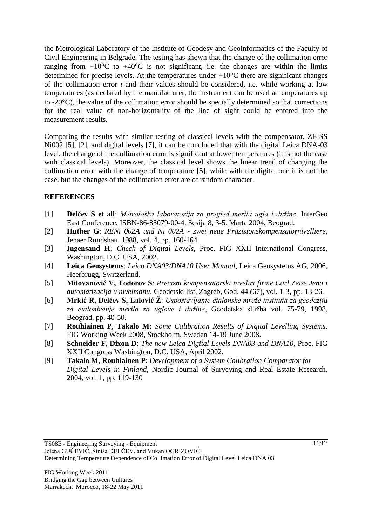the Metrological Laboratory of the Institute of Geodesy and Geoinformatics of the Faculty of Civil Engineering in Belgrade. The testing has shown that the change of the collimation error ranging from  $+10^{\circ}$ C to  $+40^{\circ}$ C is not significant, i.e. the changes are within the limits determined for precise levels. At the temperatures under  $+10^{\circ}$ C there are significant changes of the collimation error *i* and their values should be considered, i.e. while working at low temperatures (as declared by the manufacturer, the instrument can be used at temperatures up to -20C), the value of the collimation error should be specially determined so that corrections for the real value of non-horizontality of the line of sight could be entered into the measurement results.

Comparing the results with similar testing of classical levels with the compensator, ZEISS Ni002 [5], [2], and digital levels [7], it can be concluded that with the digital Leica DNA-03 level, the change of the collimation error is significant at lower temperatures (it is not the case with classical levels). Moreover, the classical level shows the linear trend of changing the collimation error with the change of temperature [5], while with the digital one it is not the case, but the changes of the collimation error are of random character.

## **REFERENCES**

- [1] **Delčev S et all**: *Metrološka laboratorija za pregled merila ugla i dužine*, InterGeo East Conference, ISBN-86-85079-00-4, Sesija 8, 3-5. Marta 2004, Beograd.
- [2] **Huther G**: *RENi 002A und Ni 002A - zwei neue Präzisionskompensatornivelliere*, Jenaer Rundshau, 1988, vol. 4, pp. 160-164.
- [3] **Ingensand H:** *Check of Digital Levels*, Proc. FIG XXII International Congress, Washington, D.C. USA, 2002.
- [4] **Leica Geosystems**: *Leica DNA03/DNA10 User Manual*, Leica Geosystems AG, 2006, Heerbrugg, Switzerland.
- [5] **Milovanović V, Todorov S**: *Precizni kompenzatorski niveliri firme Carl Zeiss Jena i automatizacija u nivelmanu*, Geodetski list, Zagreb, God. 44 (67), vol. 1-3, pp. 13-26.
- [6] **Mrkić R, Delčev S, Lalović Ž**: *Uspostavljanje etalonske mreže instituta za geodeziju za etaloniranje merila za uglove i dužine*, Geodetska služba vol. 75-79, 1998, Beograd, pp. 40-50.
- [7] **Rouhiainen P, Takalo M:** *Some Calibration Results of Digital Levelling Systems,* FIG Working Week 2008, Stockholm, Sweden 14-19 June 2008.
- [8] **Schneider F, Dixon D**: *The new Leica Digital Levels DNA03 and DNA10,* Proc. FIG XXII Congress Washington, D.C. USA, April 2002.
- [9] **Takalo M, Rouhiainen P**: *Development of a System Calibration Comparator for Digital Levels in Finland*, Nordic Journal of Surveying and Real Estate Research, 2004, vol. 1, pp. 119-130